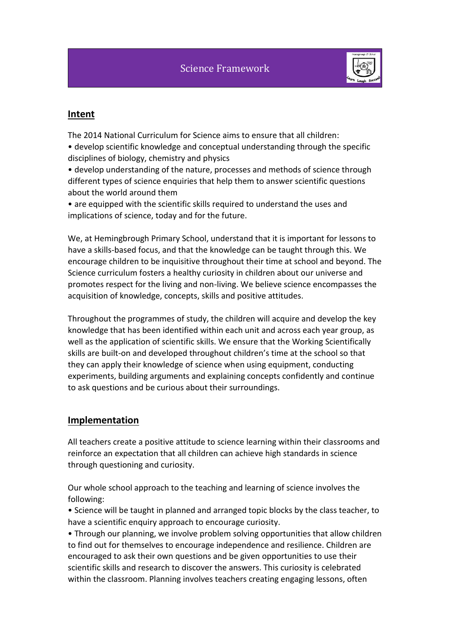

#### **Intent**

The 2014 National Curriculum for Science aims to ensure that all children: • develop scientific knowledge and conceptual understanding through the specific disciplines of biology, chemistry and physics

• develop understanding of the nature, processes and methods of science through different types of science enquiries that help them to answer scientific questions about the world around them

• are equipped with the scientific skills required to understand the uses and implications of science, today and for the future.

We, at Hemingbrough Primary School, understand that it is important for lessons to have a skills-based focus, and that the knowledge can be taught through this. We encourage children to be inquisitive throughout their time at school and beyond. The Science curriculum fosters a healthy curiosity in children about our universe and promotes respect for the living and non-living. We believe science encompasses the acquisition of knowledge, concepts, skills and positive attitudes.

Throughout the programmes of study, the children will acquire and develop the key knowledge that has been identified within each unit and across each year group, as well as the application of scientific skills. We ensure that the Working Scientifically skills are built-on and developed throughout children's time at the school so that they can apply their knowledge of science when using equipment, conducting experiments, building arguments and explaining concepts confidently and continue to ask questions and be curious about their surroundings.

#### **Implementation**

All teachers create a positive attitude to science learning within their classrooms and reinforce an expectation that all children can achieve high standards in science through questioning and curiosity.

Our whole school approach to the teaching and learning of science involves the following:

• Science will be taught in planned and arranged topic blocks by the class teacher, to have a scientific enquiry approach to encourage curiosity.

• Through our planning, we involve problem solving opportunities that allow children to find out for themselves to encourage independence and resilience. Children are encouraged to ask their own questions and be given opportunities to use their scientific skills and research to discover the answers. This curiosity is celebrated within the classroom. Planning involves teachers creating engaging lessons, often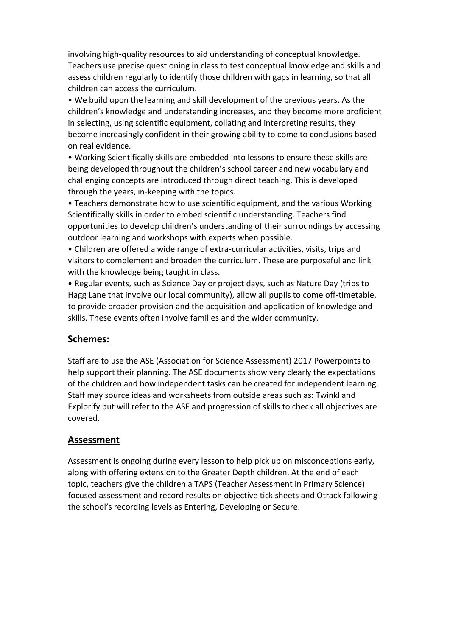involving high-quality resources to aid understanding of conceptual knowledge. Teachers use precise questioning in class to test conceptual knowledge and skills and assess children regularly to identify those children with gaps in learning, so that all children can access the curriculum.

• We build upon the learning and skill development of the previous years. As the children's knowledge and understanding increases, and they become more proficient in selecting, using scientific equipment, collating and interpreting results, they become increasingly confident in their growing ability to come to conclusions based on real evidence.

• Working Scientifically skills are embedded into lessons to ensure these skills are being developed throughout the children's school career and new vocabulary and challenging concepts are introduced through direct teaching. This is developed through the years, in-keeping with the topics.

• Teachers demonstrate how to use scientific equipment, and the various Working Scientifically skills in order to embed scientific understanding. Teachers find opportunities to develop children's understanding of their surroundings by accessing outdoor learning and workshops with experts when possible.

• Children are offered a wide range of extra-curricular activities, visits, trips and visitors to complement and broaden the curriculum. These are purposeful and link with the knowledge being taught in class.

• Regular events, such as Science Day or project days, such as Nature Day (trips to Hagg Lane that involve our local community), allow all pupils to come off-timetable, to provide broader provision and the acquisition and application of knowledge and skills. These events often involve families and the wider community.

### **Schemes:**

Staff are to use the ASE (Association for Science Assessment) 2017 Powerpoints to help support their planning. The ASE documents show very clearly the expectations of the children and how independent tasks can be created for independent learning. Staff may source ideas and worksheets from outside areas such as: Twinkl and Explorify but will refer to the ASE and progression of skills to check all objectives are covered.

### **Assessment**

Assessment is ongoing during every lesson to help pick up on misconceptions early, along with offering extension to the Greater Depth children. At the end of each topic, teachers give the children a TAPS (Teacher Assessment in Primary Science) focused assessment and record results on objective tick sheets and Otrack following the school's recording levels as Entering, Developing or Secure.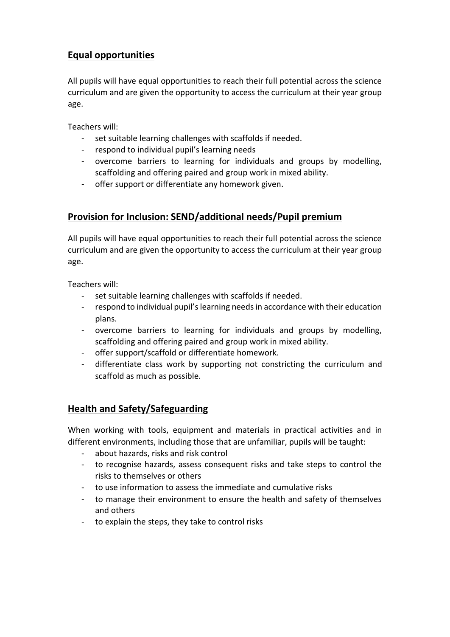## **Equal opportunities**

All pupils will have equal opportunities to reach their full potential across the science curriculum and are given the opportunity to access the curriculum at their year group age.

Teachers will:

- set suitable learning challenges with scaffolds if needed.
- respond to individual pupil's learning needs
- overcome barriers to learning for individuals and groups by modelling, scaffolding and offering paired and group work in mixed ability.
- offer support or differentiate any homework given.

### **Provision for Inclusion: SEND/additional needs/Pupil premium**

All pupils will have equal opportunities to reach their full potential across the science curriculum and are given the opportunity to access the curriculum at their year group age.

Teachers will:

- set suitable learning challenges with scaffolds if needed.
- respond to individual pupil's learning needs in accordance with their education plans.
- overcome barriers to learning for individuals and groups by modelling, scaffolding and offering paired and group work in mixed ability.
- offer support/scaffold or differentiate homework.
- differentiate class work by supporting not constricting the curriculum and scaffold as much as possible.

### **Health and Safety/Safeguarding**

When working with tools, equipment and materials in practical activities and in different environments, including those that are unfamiliar, pupils will be taught:

- about hazards, risks and risk control
- to recognise hazards, assess consequent risks and take steps to control the risks to themselves or others
- to use information to assess the immediate and cumulative risks
- to manage their environment to ensure the health and safety of themselves and others
- to explain the steps, they take to control risks